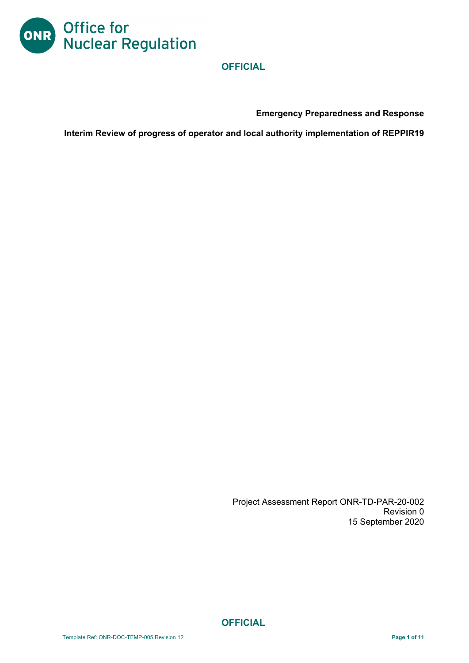

**Emergency Preparedness and Response** 

**Interim Review of progress of operator and local authority implementation of REPPIR19** 

Project Assessment Report ONR-TD-PAR-20-002 Revision 0 15 September 2020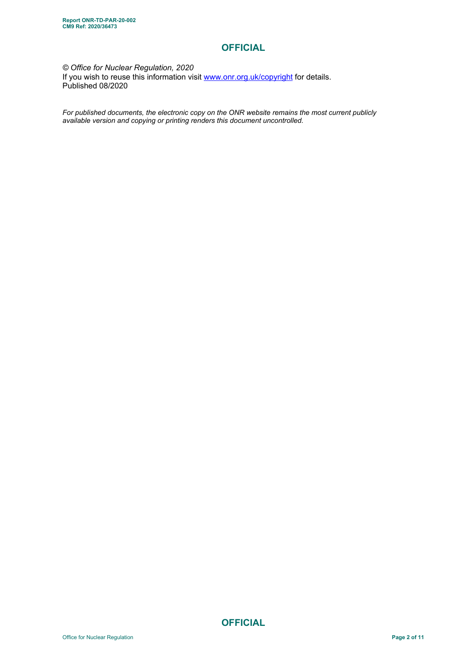#### *© Office for Nuclear Regulation, 2020*  If you wish to reuse this information visit www.onr.org.uk/copyright for details. Published 08/2020

*For published documents, the electronic copy on the ONR website remains the most current publicly available version and copying or printing renders this document uncontrolled.*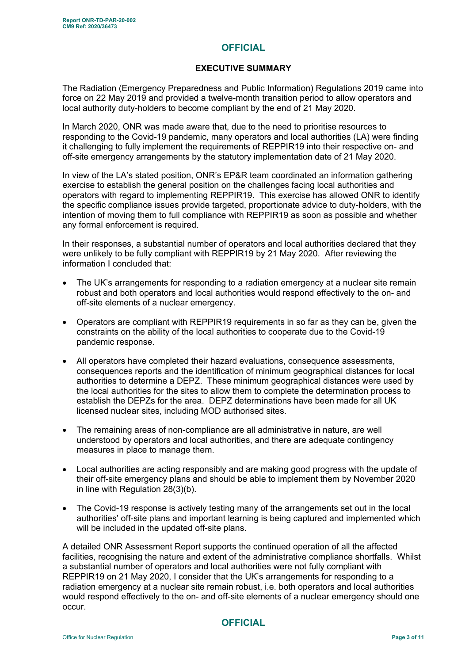#### **EXECUTIVE SUMMARY**

The Radiation (Emergency Preparedness and Public Information) Regulations 2019 came into force on 22 May 2019 and provided a twelve-month transition period to allow operators and local authority duty-holders to become compliant by the end of 21 May 2020.

In March 2020, ONR was made aware that, due to the need to prioritise resources to responding to the Covid-19 pandemic, many operators and local authorities (LA) were finding it challenging to fully implement the requirements of REPPIR19 into their respective on- and off-site emergency arrangements by the statutory implementation date of 21 May 2020.

In view of the LA's stated position, ONR's EP&R team coordinated an information gathering exercise to establish the general position on the challenges facing local authorities and operators with regard to implementing REPPIR19. This exercise has allowed ONR to identify the specific compliance issues provide targeted, proportionate advice to duty-holders, with the intention of moving them to full compliance with REPPIR19 as soon as possible and whether any formal enforcement is required.

In their responses, a substantial number of operators and local authorities declared that they were unlikely to be fully compliant with REPPIR19 by 21 May 2020. After reviewing the information I concluded that:

- The UK's arrangements for responding to a radiation emergency at a nuclear site remain robust and both operators and local authorities would respond effectively to the on- and off-site elements of a nuclear emergency.
- Operators are compliant with REPPIR19 requirements in so far as they can be, given the constraints on the ability of the local authorities to cooperate due to the Covid-19 pandemic response.
- All operators have completed their hazard evaluations, consequence assessments, consequences reports and the identification of minimum geographical distances for local authorities to determine a DEPZ. These minimum geographical distances were used by the local authorities for the sites to allow them to complete the determination process to establish the DEPZs for the area. DEPZ determinations have been made for all UK licensed nuclear sites, including MOD authorised sites.
- The remaining areas of non-compliance are all administrative in nature, are well understood by operators and local authorities, and there are adequate contingency measures in place to manage them.
- Local authorities are acting responsibly and are making good progress with the update of their off-site emergency plans and should be able to implement them by November 2020 in line with Regulation 28(3)(b).
- The Covid-19 response is actively testing many of the arrangements set out in the local authorities' off-site plans and important learning is being captured and implemented which will be included in the updated off-site plans.

A detailed ONR Assessment Report supports the continued operation of all the affected facilities, recognising the nature and extent of the administrative compliance shortfalls. Whilst a substantial number of operators and local authorities were not fully compliant with REPPIR19 on 21 May 2020, I consider that the UK's arrangements for responding to a radiation emergency at a nuclear site remain robust, i.e. both operators and local authorities would respond effectively to the on- and off-site elements of a nuclear emergency should one occur.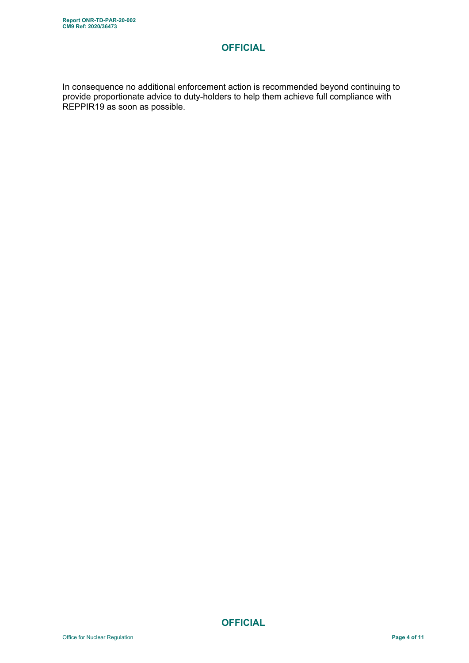In consequence no additional enforcement action is recommended beyond continuing to provide proportionate advice to duty-holders to help them achieve full compliance with REPPIR19 as soon as possible.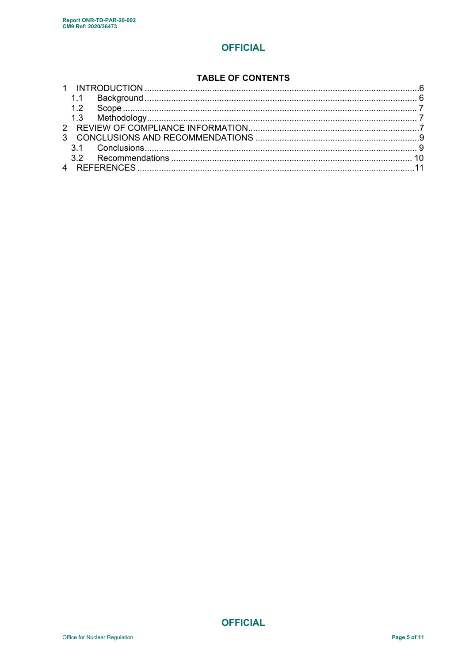#### **TABLE OF CONTENTS**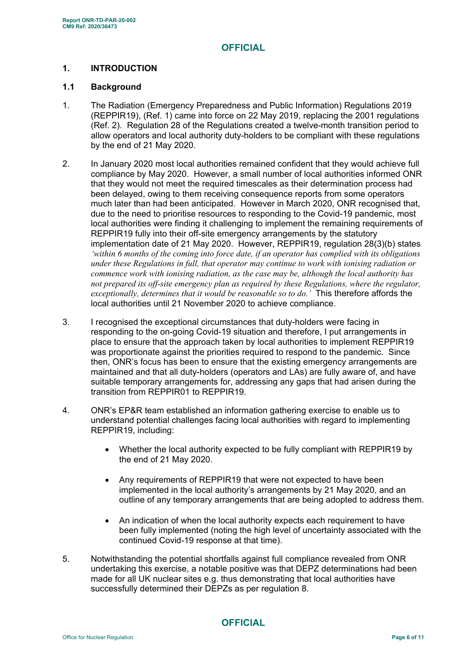### **1. INTRODUCTION**

#### **1.1 Background**

- 1. The Radiation (Emergency Preparedness and Public Information) Regulations 2019 (REPPIR19), (Ref. 1) came into force on 22 May 2019, replacing the 2001 regulations (Ref. 2). Regulation 28 of the Regulations created a twelve-month transition period to allow operators and local authority duty-holders to be compliant with these regulations by the end of 21 May 2020.
- 2. In January 2020 most local authorities remained confident that they would achieve full compliance by May 2020. However, a small number of local authorities informed ONR that they would not meet the required timescales as their determination process had been delayed, owing to them receiving consequence reports from some operators much later than had been anticipated. However in March 2020, ONR recognised that, due to the need to prioritise resources to responding to the Covid-19 pandemic, most local authorities were finding it challenging to implement the remaining requirements of REPPIR19 fully into their off-site emergency arrangements by the statutory implementation date of 21 May 2020. However, REPPIR19, regulation 28(3)(b) states *'within 6 months of the coming into force date, if an operator has complied with its obligations under these Regulations in full, that operator may continue to work with ionising radiation or commence work with ionising radiation, as the case may be, although the local authority has not prepared its off-site emergency plan as required by these Regulations, where the regulator, exceptionally, determines that it would be reasonable so to do.'* This therefore affords the local authorities until 21 November 2020 to achieve compliance.
- 3. I recognised the exceptional circumstances that duty-holders were facing in responding to the on-going Covid-19 situation and therefore, I put arrangements in place to ensure that the approach taken by local authorities to implement REPPIR19 was proportionate against the priorities required to respond to the pandemic. Since then, ONR's focus has been to ensure that the existing emergency arrangements are maintained and that all duty-holders (operators and LAs) are fully aware of, and have suitable temporary arrangements for, addressing any gaps that had arisen during the transition from REPPIR01 to REPPIR19.
- 4. ONR's EP&R team established an information gathering exercise to enable us to understand potential challenges facing local authorities with regard to implementing REPPIR19, including:
	- Whether the local authority expected to be fully compliant with REPPIR19 by the end of 21 May 2020.
	- Any requirements of REPPIR19 that were not expected to have been implemented in the local authority's arrangements by 21 May 2020, and an outline of any temporary arrangements that are being adopted to address them.
	- An indication of when the local authority expects each requirement to have been fully implemented (noting the high level of uncertainty associated with the continued Covid-19 response at that time).
- 5. Notwithstanding the potential shortfalls against full compliance revealed from ONR undertaking this exercise, a notable positive was that DEPZ determinations had been made for all UK nuclear sites e.g. thus demonstrating that local authorities have successfully determined their DEPZs as per regulation 8.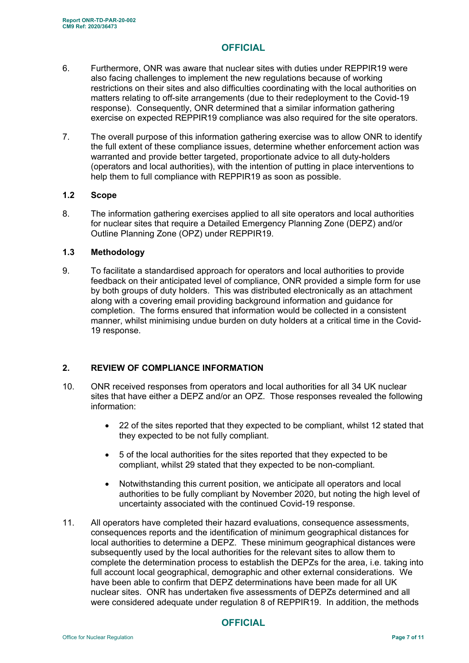- 6. Furthermore, ONR was aware that nuclear sites with duties under REPPIR19 were also facing challenges to implement the new regulations because of working restrictions on their sites and also difficulties coordinating with the local authorities on matters relating to off-site arrangements (due to their redeployment to the Covid-19 response). Consequently, ONR determined that a similar information gathering exercise on expected REPPIR19 compliance was also required for the site operators.
- 7. The overall purpose of this information gathering exercise was to allow ONR to identify the full extent of these compliance issues, determine whether enforcement action was warranted and provide better targeted, proportionate advice to all duty-holders (operators and local authorities), with the intention of putting in place interventions to help them to full compliance with REPPIR19 as soon as possible.

#### **1.2 Scope**

8. The information gathering exercises applied to all site operators and local authorities for nuclear sites that require a Detailed Emergency Planning Zone (DEPZ) and/or Outline Planning Zone (OPZ) under REPPIR19.

#### **1.3 Methodology**

9. To facilitate a standardised approach for operators and local authorities to provide feedback on their anticipated level of compliance, ONR provided a simple form for use by both groups of duty holders. This was distributed electronically as an attachment along with a covering email providing background information and guidance for completion. The forms ensured that information would be collected in a consistent manner, whilst minimising undue burden on duty holders at a critical time in the Covid-19 response.

#### **2. REVIEW OF COMPLIANCE INFORMATION**

- 10. ONR received responses from operators and local authorities for all 34 UK nuclear sites that have either a DEPZ and/or an OPZ. Those responses revealed the following information:
	- 22 of the sites reported that they expected to be compliant, whilst 12 stated that they expected to be not fully compliant.
	- 5 of the local authorities for the sites reported that they expected to be compliant, whilst 29 stated that they expected to be non-compliant.
	- Notwithstanding this current position, we anticipate all operators and local authorities to be fully compliant by November 2020, but noting the high level of uncertainty associated with the continued Covid-19 response.
- 11. All operators have completed their hazard evaluations, consequence assessments, consequences reports and the identification of minimum geographical distances for local authorities to determine a DEPZ. These minimum geographical distances were subsequently used by the local authorities for the relevant sites to allow them to complete the determination process to establish the DEPZs for the area, i.e. taking into full account local geographical, demographic and other external considerations. We have been able to confirm that DEPZ determinations have been made for all UK nuclear sites. ONR has undertaken five assessments of DEPZs determined and all were considered adequate under regulation 8 of REPPIR19. In addition, the methods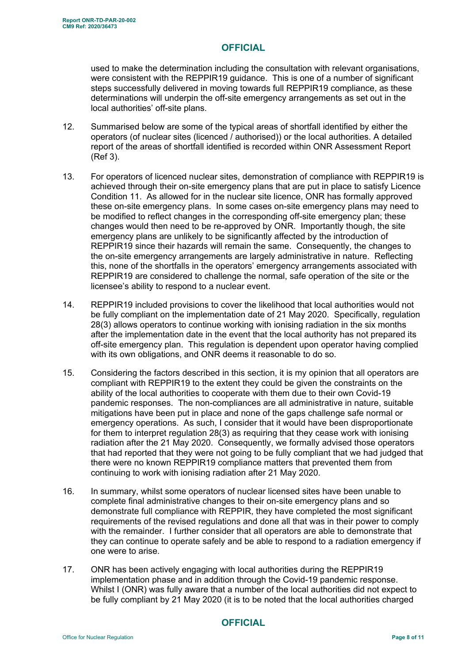used to make the determination including the consultation with relevant organisations, were consistent with the REPPIR19 guidance. This is one of a number of significant steps successfully delivered in moving towards full REPPIR19 compliance, as these determinations will underpin the off-site emergency arrangements as set out in the local authorities' off-site plans.

- 12. Summarised below are some of the typical areas of shortfall identified by either the operators (of nuclear sites (licenced / authorised)) or the local authorities. A detailed report of the areas of shortfall identified is recorded within ONR Assessment Report (Ref 3).
- 13. For operators of licenced nuclear sites, demonstration of compliance with REPPIR19 is achieved through their on-site emergency plans that are put in place to satisfy Licence Condition 11. As allowed for in the nuclear site licence, ONR has formally approved these on-site emergency plans. In some cases on-site emergency plans may need to be modified to reflect changes in the corresponding off-site emergency plan; these changes would then need to be re-approved by ONR. Importantly though, the site emergency plans are unlikely to be significantly affected by the introduction of REPPIR19 since their hazards will remain the same. Consequently, the changes to the on-site emergency arrangements are largely administrative in nature. Reflecting this, none of the shortfalls in the operators' emergency arrangements associated with REPPIR19 are considered to challenge the normal, safe operation of the site or the licensee's ability to respond to a nuclear event.
- 14. REPPIR19 included provisions to cover the likelihood that local authorities would not be fully compliant on the implementation date of 21 May 2020. Specifically, regulation 28(3) allows operators to continue working with ionising radiation in the six months after the implementation date in the event that the local authority has not prepared its off-site emergency plan. This regulation is dependent upon operator having complied with its own obligations, and ONR deems it reasonable to do so.
- 15. Considering the factors described in this section, it is my opinion that all operators are compliant with REPPIR19 to the extent they could be given the constraints on the ability of the local authorities to cooperate with them due to their own Covid-19 pandemic responses. The non-compliances are all administrative in nature, suitable mitigations have been put in place and none of the gaps challenge safe normal or emergency operations. As such, I consider that it would have been disproportionate for them to interpret regulation 28(3) as requiring that they cease work with ionising radiation after the 21 May 2020. Consequently, we formally advised those operators that had reported that they were not going to be fully compliant that we had judged that there were no known REPPIR19 compliance matters that prevented them from continuing to work with ionising radiation after 21 May 2020.
- 16. In summary, whilst some operators of nuclear licensed sites have been unable to complete final administrative changes to their on-site emergency plans and so demonstrate full compliance with REPPIR, they have completed the most significant requirements of the revised regulations and done all that was in their power to comply with the remainder. I further consider that all operators are able to demonstrate that they can continue to operate safely and be able to respond to a radiation emergency if one were to arise.
- 17. ONR has been actively engaging with local authorities during the REPPIR19 implementation phase and in addition through the Covid-19 pandemic response. Whilst I (ONR) was fully aware that a number of the local authorities did not expect to be fully compliant by 21 May 2020 (it is to be noted that the local authorities charged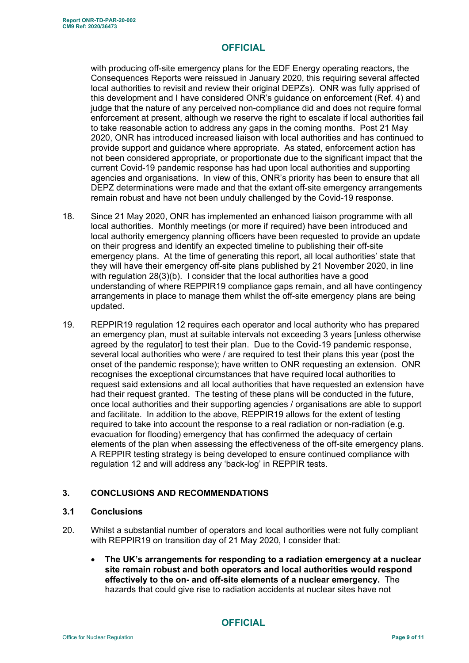with producing off-site emergency plans for the EDF Energy operating reactors, the Consequences Reports were reissued in January 2020, this requiring several affected local authorities to revisit and review their original DEPZs). ONR was fully apprised of this development and I have considered ONR's guidance on enforcement (Ref. 4) and judge that the nature of any perceived non-compliance did and does not require formal enforcement at present, although we reserve the right to escalate if local authorities fail to take reasonable action to address any gaps in the coming months. Post 21 May 2020, ONR has introduced increased liaison with local authorities and has continued to provide support and guidance where appropriate. As stated, enforcement action has not been considered appropriate, or proportionate due to the significant impact that the current Covid-19 pandemic response has had upon local authorities and supporting agencies and organisations. In view of this, ONR's priority has been to ensure that all DEPZ determinations were made and that the extant off-site emergency arrangements remain robust and have not been unduly challenged by the Covid-19 response.

- 18. Since 21 May 2020, ONR has implemented an enhanced liaison programme with all local authorities. Monthly meetings (or more if required) have been introduced and local authority emergency planning officers have been requested to provide an update on their progress and identify an expected timeline to publishing their off-site emergency plans. At the time of generating this report, all local authorities' state that they will have their emergency off-site plans published by 21 November 2020, in line with regulation 28(3)(b). I consider that the local authorities have a good understanding of where REPPIR19 compliance gaps remain, and all have contingency arrangements in place to manage them whilst the off-site emergency plans are being updated.
- 19. REPPIR19 regulation 12 requires each operator and local authority who has prepared an emergency plan, must at suitable intervals not exceeding 3 years [unless otherwise agreed by the regulator] to test their plan. Due to the Covid-19 pandemic response, several local authorities who were / are required to test their plans this year (post the onset of the pandemic response); have written to ONR requesting an extension. ONR recognises the exceptional circumstances that have required local authorities to request said extensions and all local authorities that have requested an extension have had their request granted. The testing of these plans will be conducted in the future, once local authorities and their supporting agencies / organisations are able to support and facilitate. In addition to the above, REPPIR19 allows for the extent of testing required to take into account the response to a real radiation or non-radiation (e.g. evacuation for flooding) emergency that has confirmed the adequacy of certain elements of the plan when assessing the effectiveness of the off-site emergency plans. A REPPIR testing strategy is being developed to ensure continued compliance with regulation 12 and will address any 'back-log' in REPPIR tests.

#### **3. CONCLUSIONS AND RECOMMENDATIONS**

#### **3.1 Conclusions**

- 20. Whilst a substantial number of operators and local authorities were not fully compliant with REPPIR19 on transition day of 21 May 2020, I consider that:
	- **The UK's arrangements for responding to a radiation emergency at a nuclear site remain robust and both operators and local authorities would respond effectively to the on- and off-site elements of a nuclear emergency.** The hazards that could give rise to radiation accidents at nuclear sites have not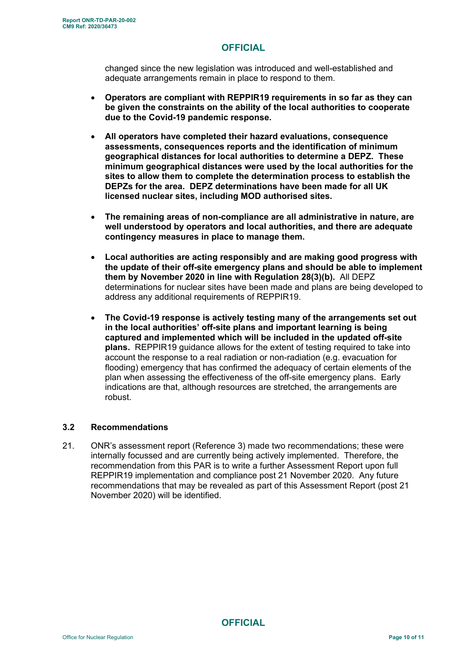changed since the new legislation was introduced and well-established and adequate arrangements remain in place to respond to them.

- **Operators are compliant with REPPIR19 requirements in so far as they can be given the constraints on the ability of the local authorities to cooperate due to the Covid-19 pandemic response.**
- **All operators have completed their hazard evaluations, consequence assessments, consequences reports and the identification of minimum geographical distances for local authorities to determine a DEPZ. These minimum geographical distances were used by the local authorities for the sites to allow them to complete the determination process to establish the DEPZs for the area. DEPZ determinations have been made for all UK licensed nuclear sites, including MOD authorised sites.**
- **The remaining areas of non-compliance are all administrative in nature, are well understood by operators and local authorities, and there are adequate contingency measures in place to manage them.**
- **Local authorities are acting responsibly and are making good progress with the update of their off-site emergency plans and should be able to implement them by November 2020 in line with Regulation 28(3)(b).** All DEPZ determinations for nuclear sites have been made and plans are being developed to address any additional requirements of REPPIR19.
- **The Covid-19 response is actively testing many of the arrangements set out in the local authorities' off-site plans and important learning is being captured and implemented which will be included in the updated off-site plans.** REPPIR19 guidance allows for the extent of testing required to take into account the response to a real radiation or non-radiation (e.g. evacuation for flooding) emergency that has confirmed the adequacy of certain elements of the plan when assessing the effectiveness of the off-site emergency plans. Early indications are that, although resources are stretched, the arrangements are robust.

#### **3.2 Recommendations**

21. ONR's assessment report (Reference 3) made two recommendations; these were internally focussed and are currently being actively implemented. Therefore, the recommendation from this PAR is to write a further Assessment Report upon full REPPIR19 implementation and compliance post 21 November 2020. Any future recommendations that may be revealed as part of this Assessment Report (post 21 November 2020) will be identified.